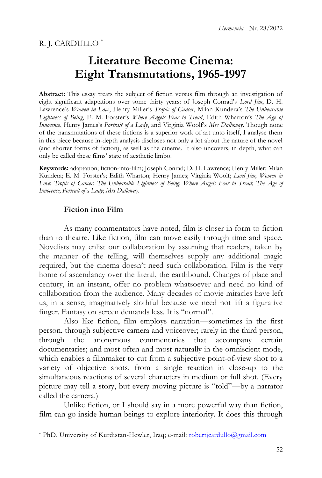R. J. CARDULLO \*

# **Literature Become Cinema: Eight Transmutations, 1965-1997**

**Abstract:** This essay treats the subject of fiction versus film through an investigation of eight significant adaptations over some thirty years: of Joseph Conrad's *Lord Jim*, D. H. Lawrence's *Women in Love*, Henry Miller's *Tropic of Cancer*, Milan Kundera's *The Unbearable Lightness of Being*, E. M. Forster's *Where Angels Fear to Tread*, Edith Wharton's *The Age of Innocence*, Henry James's *Portrait of a Lady*, and Virginia Woolf's *Mrs Dalloway*. Though none of the transmutations of these fictions is a superior work of art unto itself, I analyse them in this piece because in-depth analysis discloses not only a lot about the nature of the novel (and shorter forms of fiction), as well as the cinema. It also uncovers, in depth, what can only be called these films' state of aesthetic limbo.

**Keywords:** adaptation; fiction-into-film; Joseph Conrad; D. H. Lawrence; Henry Miller; Milan Kundera; E. M. Forster's; Edith Wharton; Henry James; Virginia Woolf; *Lord Jim*; *Women in Love*; *Tropic of Cancer*; *The Unbearable Lightness of Being*; *Where Angels Fear to Tread*; *The Age of Innocence*; *Portrait of a Lady*; *Mrs Dalloway*.

## **Fiction into Film**

 $\overline{a}$ 

As many commentators have noted, film is closer in form to fiction than to theatre. Like fiction, film can move easily through time and space. Novelists may enlist our collaboration by assuming that readers, taken by the manner of the telling, will themselves supply any additional magic required, but the cinema doesn't need such collaboration. Film is the very home of ascendancy over the literal, the earthbound. Changes of place and century, in an instant, offer no problem whatsoever and need no kind of collaboration from the audience. Many decades of movie miracles have left us, in a sense, imaginatively slothful because we need not lift a figurative finger. Fantasy on screen demands less. It is "normal".

Also like fiction, film employs narration—sometimes in the first person, through subjective camera and voiceover; rarely in the third person, through the anonymous commentaries that accompany certain documentaries; and most often and most naturally in the omniscient mode, which enables a filmmaker to cut from a subjective point-of-view shot to a variety of objective shots, from a single reaction in close-up to the simultaneous reactions of several characters in medium or full shot. (Every picture may tell a story, but every moving picture is "told"—by a narrator called the camera.)

Unlike fiction, or I should say in a more powerful way than fiction, film can go inside human beings to explore interiority. It does this through

<sup>\*</sup> PhD, University of Kurdistan-Hewler, Iraq; e-mail: [robertjcardullo@gmail.com](mailto:robertjcardullo@gmail.com)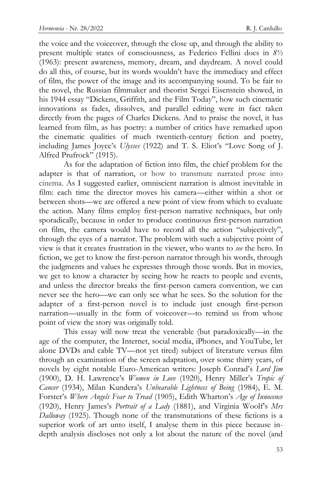the voice and the voiceover, through the close up, and through the ability to present multiple states of consciousness, as Federico Fellini does in *8½*  (1963): present awareness, memory, dream, and daydream. A novel could do all this, of course, but its words wouldn't have the immediacy and effect of film, the power of the image and its accompanying sound. To be fair to the novel, the Russian filmmaker and theorist Sergei Eisenstein showed, in his 1944 essay "Dickens, Griffith, and the Film Today", how such cinematic innovations as fades, dissolves, and parallel editing were in fact taken directly from the pages of Charles Dickens. And to praise the novel, it has learned from film, as has poetry: a number of critics have remarked upon the cinematic qualities of much twentieth-century fiction and poetry, including James Joyce's *Ulysses* (1922) and T. S. Eliot's "Love Song of J. Alfred Prufrock" (1915).

As for the adaptation of fiction into film, the chief problem for the adapter is that of narration, or how to transmute narrated prose into cinema. As I suggested earlier, omniscient narration is almost inevitable in film: each time the director moves his camera—either within a shot or between shots—we are offered a new point of view from which to evaluate the action. Many films employ first-person narrative techniques, but only sporadically, because in order to produce continuous first-person narration on film, the camera would have to record all the action "subjectively", through the eyes of a narrator. The problem with such a subjective point of view is that it creates frustration in the viewer, who wants to *see* the hero. In fiction, we get to know the first-person narrator through his words, through the judgments and values he expresses through those words. But in movies, we get to know a character by seeing how he reacts to people and events, and unless the director breaks the first-person camera convention, we can never see the hero—we can only see what he sees. So the solution for the adapter of a first-person novel is to include just enough first-person narration—usually in the form of voiceover—to remind us from whose point of view the story was originally told.

This essay will now treat the venerable (but paradoxically—in the age of the computer, the Internet, social media, iPhones, and YouTube, let alone DVDs and cable TV—not yet tired) subject of literature versus film through an examination of the screen adaptation, over some thirty years, of novels by eight notable Euro-American writers: Joseph Conrad's *Lord Jim* (1900), D. H. Lawrence's *Women in Love* (1920), Henry Miller's *Tropic of Cancer* (1934), Milan Kundera's *Unbearable Lightness of Being* (1984), E. M. Forster's *Where Angels Fear to Tread* (1905), Edith Wharton's *Age of Innocence* (1920), Henry James's *Portrait of a Lady* (1881), and Virginia Woolf's *Mrs Dalloway* (1925). Though none of the transmutations of these fictions is a superior work of art unto itself, I analyse them in this piece because indepth analysis discloses not only a lot about the nature of the novel (and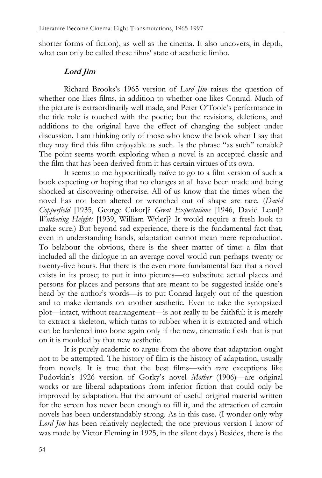shorter forms of fiction), as well as the cinema. It also uncovers, in depth, what can only be called these films' state of aesthetic limbo.

## **Lord Jim**

Richard Brooks's 1965 version of *Lord Jim* raises the question of whether one likes films, in addition to whether one likes Conrad. Much of the picture is extraordinarily well made, and Peter O'Toole's performance in the title role is touched with the poetic; but the revisions, deletions, and additions to the original have the effect of changing the subject under discussion. I am thinking only of those who know the book when I say that they may find this film enjoyable as such. Is the phrase "as such" tenable? The point seems worth exploring when a novel is an accepted classic and the film that has been derived from it has certain virtues of its own.

It seems to me hypocritically naïve to go to a film version of such a book expecting or hoping that no changes at all have been made and being shocked at discovering otherwise. All of us know that the times when the novel has not been altered or wrenched out of shape are rare. (*David Copperfield* [1935, George Cukor]? *Great Expectations* [1946, David Lean]? *Wuthering Heights* [1939, William Wyler]? It would require a fresh look to make sure.) But beyond sad experience, there is the fundamental fact that, even in understanding hands, adaptation cannot mean mere reproduction. To belabour the obvious, there is the sheer matter of time: a film that included all the dialogue in an average novel would run perhaps twenty or twenty-five hours. But there is the even more fundamental fact that a novel exists in its prose; to put it into pictures—to substitute actual places and persons for places and persons that are meant to be suggested inside one's head by the author's words—is to put Conrad largely out of the question and to make demands on another aesthetic. Even to take the synopsized plot—intact, without rearrangement—is not really to be faithful: it is merely to extract a skeleton, which turns to rubber when it is extracted and which can be hardened into bone again only if the new, cinematic flesh that is put on it is moulded by that new aesthetic.

It is purely academic to argue from the above that adaptation ought not to be attempted. The history of film is the history of adaptation, usually from novels. It is true that the best films—with rare exceptions like Pudovkin's 1926 version of Gorky's novel *Mother* (1906)—are original works or are liberal adaptations from inferior fiction that could only be improved by adaptation. But the amount of useful original material written for the screen has never been enough to fill it, and the attraction of certain novels has been understandably strong. As in this case. (I wonder only why *Lord Jim* has been relatively neglected; the one previous version I know of was made by Victor Fleming in 1925, in the silent days.) Besides, there is the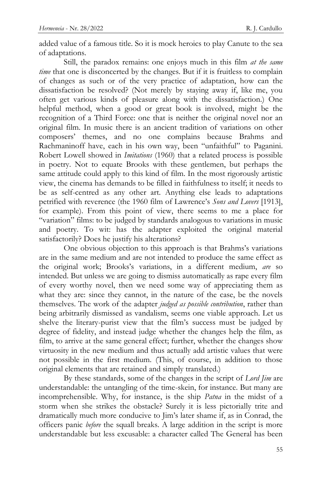added value of a famous title. So it is mock heroics to play Canute to the sea of adaptations.

Still, the paradox remains: one enjoys much in this film *at the same time* that one is disconcerted by the changes. But if it is fruitless to complain of changes as such or of the very practice of adaptation, how can the dissatisfaction be resolved? (Not merely by staying away if, like me, you often get various kinds of pleasure along with the dissatisfaction.) One helpful method, when a good or great book is involved, might be the recognition of a Third Force: one that is neither the original novel nor an original film. In music there is an ancient tradition of variations on other composers' themes, and no one complains because Brahms and Rachmaninoff have, each in his own way, been "unfaithful" to Paganini. Robert Lowell showed in *Imitations* (1960) that a related process is possible in poetry. Not to equate Brooks with these gentlemen, but perhaps the same attitude could apply to this kind of film. In the most rigorously artistic view, the cinema has demands to be filled in faithfulness to itself; it needs to be as self-centred as any other art. Anything else leads to adaptations petrified with reverence (the 1960 film of Lawrence's *Sons and Lovers* [1913], for example). From this point of view, there seems to me a place for "variation" films: to be judged by standards analogous to variations in music and poetry. To wit: has the adapter exploited the original material satisfactorily? Does he justify his alterations?

One obvious objection to this approach is that Brahms's variations are in the same medium and are not intended to produce the same effect as the original work; Brooks's variations, in a different medium, *are* so intended. But unless we are going to dismiss automatically as rape every film of every worthy novel, then we need some way of appreciating them as what they are: since they cannot, in the nature of the case, be the novels themselves. The work of the adapter *judged as possible contribution*, rather than being arbitrarily dismissed as vandalism, seems one viable approach. Let us shelve the literary-purist view that the film's success must be judged by degree of fidelity, and instead judge whether the changes help the film, as film, to arrive at the same general effect; further, whether the changes show virtuosity in the new medium and thus actually add artistic values that were not possible in the first medium. (This, of course, in addition to those original elements that are retained and simply translated.)

By these standards, some of the changes in the script of *Lord Jim* are understandable: the untangling of the time-skein, for instance. But many are incomprehensible. Why, for instance, is the ship *Patna* in the midst of a storm when she strikes the obstacle? Surely it is less pictorially trite and dramatically much more conducive to Jim's later shame if, as in Conrad, the officers panic *before* the squall breaks. A large addition in the script is more understandable but less excusable: a character called The General has been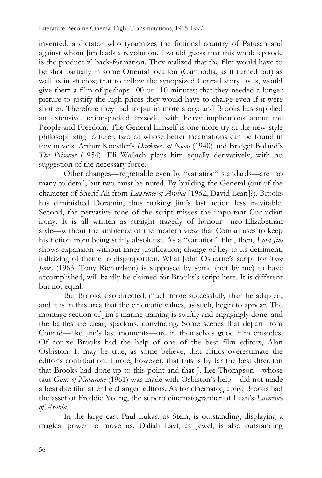invented, a dictator who tyrannizes the fictional country of Patusan and against whom Jim leads a revolution. I would guess that this whole episode is the producers' back-formation. They realized that the film would have to be shot partially in some Oriental location (Cambodia, as it turned out) as well as in studios; that to follow the synopsized Conrad story, as is, would give them a film of perhaps 100 or 110 minutes; that they needed a longer picture to justify the high prices they would have to charge even if it were shorter. Therefore they had to put in more story; and Brooks has supplied an extensive action-packed episode, with heavy implications about the People and Freedom. The General himself is one more try at the new-style philosophizing torturer, two of whose better incarnations can be found in tow novels: Arthur Koestler's *Darkness at Noon* (1940) and Bridget Boland's *The Prisoner* (1954). Eli Wallach plays him equally derivatively, with no suggestion of the necessary force.

Other changes—regrettable even by "variation" standards—are too many to detail, but two must be noted. By building the General (out of the character of Sherif Ali from *Lawrence of Arabia* [1962, David Lean]?), Brooks has diminished Doramin, thus making Jim's last action less inevitable. Second, the pervasive tone of the script misses the important Conradian irony. It is all written as straight tragedy of honour—neo-Elizabethan style—without the ambience of the modern view that Conrad uses to keep his fiction from being stiffly absolutist. As a "variation" film, then, *Lord Jim* shows expansion without inner justification; change of key to its detriment; italicizing of theme to disproportion. What John Osborne's script for *Tom Jones* (1963, Tony Richardson) is supposed by some (not by me) to have accomplished, will hardly be claimed for Brooks's script here. It is different but not equal.

But Brooks also directed, much more successfully than he adapted; and it is in this area that the cinematic values, as such, begin to appear. The montage section of Jim's marine training is swiftly and engagingly done, and the battles are clear, spacious, convincing. Some scenes that depart from Conrad—like Jim's last moments—are in themselves good film episodes. Of course Brooks had the help of one of the best film editors, Alan Osbiston. It may be true, as some believe, that critics overestimate the editor's contribution. I note, however, that this is by far the best direction that Brooks had done up to this point and that J. Lee Thompson—whose taut *Guns of Navarone* (1961) was made with Osbiston's help—did not made a bearable film after he changed editors. As for cinematography, Brooks had the asset of Freddie Young, the superb cinematographer of Lean's *Lawrence of Arabia*.

In the large cast Paul Lukas, as Stein, is outstanding, displaying a magical power to move us. Daliah Lavi, as Jewel, is also outstanding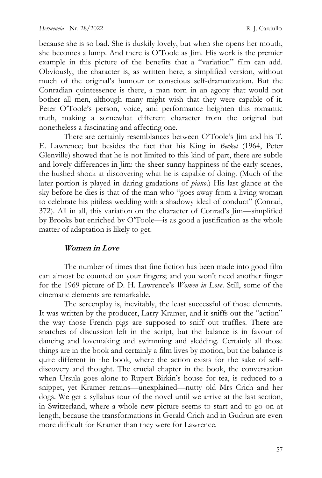because she is so bad. She is duskily lovely, but when she opens her mouth, she becomes a lump. And there is O'Toole as Jim. His work is the premier example in this picture of the benefits that a "variation" film can add. Obviously, the character is, as written here, a simplified version, without much of the original's humour or conscious self-dramatization. But the Conradian quintessence is there, a man torn in an agony that would not bother all men, although many might wish that they were capable of it. Peter O'Toole's person, voice, and performance heighten this romantic truth, making a somewhat different character from the original but nonetheless a fascinating and affecting one.

There are certainly resemblances between O'Toole's Jim and his T. E. Lawrence; but besides the fact that his King in *Becket* (1964, Peter Glenville) showed that he is not limited to this kind of part, there are subtle and lovely differences in Jim: the sheer sunny happiness of the early scenes, the hushed shock at discovering what he is capable of doing. (Much of the later portion is played in daring gradations of *piano*.) His last glance at the sky before he dies is that of the man who "goes away from a living woman to celebrate his pitiless wedding with a shadowy ideal of conduct" (Conrad, 372). All in all, this variation on the character of Conrad's Jim—simplified by Brooks but enriched by O'Toole—is as good a justification as the whole matter of adaptation is likely to get.

#### **Women in Love**

The number of times that fine fiction has been made into good film can almost be counted on your fingers; and you won't need another finger for the 1969 picture of D. H. Lawrence's *Women in Love*. Still, some of the cinematic elements are remarkable.

The screenplay is, inevitably, the least successful of those elements. It was written by the producer, Larry Kramer, and it sniffs out the "action" the way those French pigs are supposed to sniff out truffles. There are snatches of discussion left in the script, but the balance is in favour of dancing and lovemaking and swimming and sledding. Certainly all those things are in the book and certainly a film lives by motion, but the balance is quite different in the book, where the action exists for the sake of selfdiscovery and thought. The crucial chapter in the book, the conversation when Ursula goes alone to Rupert Birkin's house for tea, is reduced to a snippet, yet Kramer retains—unexplained—nutty old Mrs Crich and her dogs. We get a syllabus tour of the novel until we arrive at the last section, in Switzerland, where a whole new picture seems to start and to go on at length, because the transformations in Gerald Crich and in Gudrun are even more difficult for Kramer than they were for Lawrence.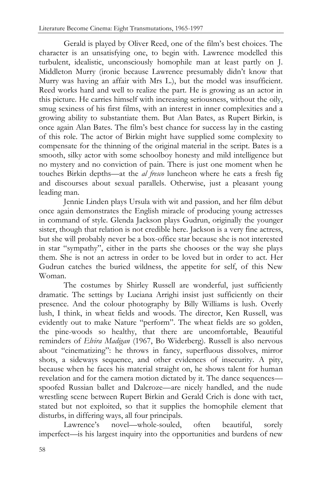Gerald is played by Oliver Reed, one of the film's best choices. The character is an unsatisfying one, to begin with. Lawrence modelled this turbulent, idealistic, unconsciously homophile man at least partly on J. Middleton Murry (ironic because Lawrence presumably didn't know that Murry was having an affair with Mrs L.), but the model was insufficient. Reed works hard and well to realize the part. He is growing as an actor in this picture. He carries himself with increasing seriousness, without the oily, smug sexiness of his first films, with an interest in inner complexities and a growing ability to substantiate them. But Alan Bates, as Rupert Birkin, is once again Alan Bates. The film's best chance for success lay in the casting of this role. The actor of Birkin might have supplied some complexity to compensate for the thinning of the original material in the script. Bates is a smooth, silky actor with some schoolboy honesty and mild intelligence but no mystery and no conviction of pain. There is just one moment when he touches Birkin depths—at the *al fresco* luncheon where he eats a fresh fig and discourses about sexual parallels. Otherwise, just a pleasant young leading man.

Jennie Linden plays Ursula with wit and passion, and her film début once again demonstrates the English miracle of producing young actresses in command of style. Glenda Jackson plays Gudrun, originally the younger sister, though that relation is not credible here. Jackson is a very fine actress, but she will probably never be a box-office star because she is not interested in star "sympathy", either in the parts she chooses or the way she plays them. She is not an actress in order to be loved but in order to act. Her Gudrun catches the buried wildness, the appetite for self, of this New Woman.

The costumes by Shirley Russell are wonderful, just sufficiently dramatic. The settings by Luciana Arrighi insist just sufficiently on their presence. And the colour photography by Billy Williams is lush. Overly lush, I think, in wheat fields and woods. The director, Ken Russell, was evidently out to make Nature "perform". The wheat fields are so golden, the pine-woods so healthy, that there are uncomfortable, Beautiful reminders of *Elvira Madigan* (1967, Bo Widerberg). Russell is also nervous about "cinematizing": he throws in fancy, superfluous dissolves, mirror shots, a sideways sequence, and other evidences of insecurity. A pity, because when he faces his material straight on, he shows talent for human revelation and for the camera motion dictated by it. The dance sequences spoofed Russian ballet and Dalcroze—are nicely handled, and the nude wrestling scene between Rupert Birkin and Gerald Crich is done with tact, stated but not exploited, so that it supplies the homophile element that disturbs, in differing ways, all four principals.

Lawrence's novel—whole-souled, often beautiful, sorely imperfect—is his largest inquiry into the opportunities and burdens of new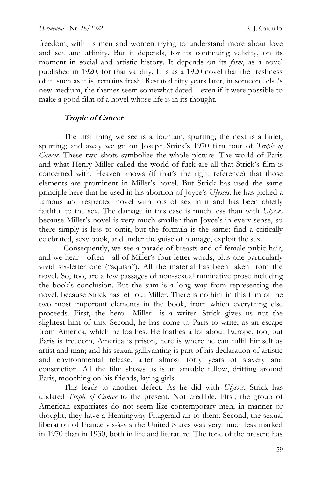freedom, with its men and women trying to understand more about love and sex and affinity. But it depends, for its continuing validity, on its moment in social and artistic history. It depends on its *form*, as a novel published in 1920, for that validity. It is as a 1920 novel that the freshness of it, such as it is, remains fresh. Restated fifty years later, in someone else's new medium, the themes seem somewhat dated—even if it were possible to make a good film of a novel whose life is in its thought.

#### **Tropic of Cancer**

The first thing we see is a fountain, spurting; the next is a bidet, spurting; and away we go on Joseph Strick's 1970 film tour of *Tropic of Cancer*. These two shots symbolize the whole picture. The world of Paris and what Henry Miller called the world of fuck are all that Strick's film is concerned with. Heaven knows (if that's the right reference) that those elements are prominent in Miller's novel. But Strick has used the same principle here that he used in his abortion of Joyce's *Ulysses*: he has picked a famous and respected novel with lots of sex in it and has been chiefly faithful to the sex. The damage in this case is much less than with *Ulysses*  because Miller's novel is very much smaller than Joyce's in every sense, so there simply is less to omit, but the formula is the same: find a critically celebrated, sexy book, and under the guise of homage, exploit the sex.

Consequently, we see a parade of breasts and of female pubic hair, and we hear—often—all of Miller's four-letter words, plus one particularly vivid six-letter one ("squish"). All the material has been taken from the novel. So, too, are a few passages of non-sexual ruminative prose including the book's conclusion. But the sum is a long way from representing the novel, because Strick has left out Miller. There is no hint in this film of the two most important elements in the book, from which everything else proceeds. First, the hero—Miller—is a writer. Strick gives us not the slightest hint of this. Second, he has come to Paris to write, as an escape from America, which he loathes. He loathes a lot about Europe, too, but Paris is freedom, America is prison, here is where he can fulfil himself as artist and man; and his sexual gallivanting is part of his declaration of artistic and environmental release, after almost forty years of slavery and constriction. All the film shows us is an amiable fellow, drifting around Paris, mooching on his friends, laying girls.

This leads to another defect. As he did with *Ulysses*, Strick has updated *Tropic of Cancer* to the present. Not credible. First, the group of American expatriates do not seem like contemporary men, in manner or thought; they have a Hemingway-Fitzgerald air to them. Second, the sexual liberation of France vis-à-vis the United States was very much less marked in 1970 than in 1930, both in life and literature. The tone of the present has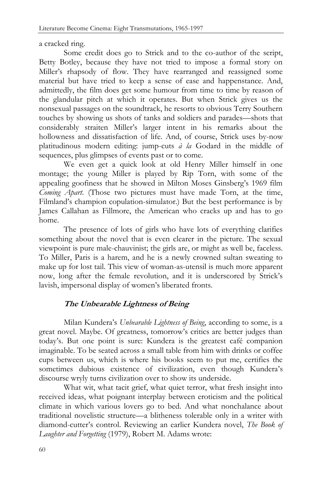a cracked ring.

Some credit does go to Strick and to the co-author of the script, Betty Botley, because they have not tried to impose a formal story on Miller's rhapsody of flow. They have rearranged and reassigned some material but have tried to keep a sense of ease and happenstance. And, admittedly, the film does get some humour from time to time by reason of the glandular pitch at which it operates. But when Strick gives us the nonsexual passages on the soundtrack, he resorts to obvious Terry Southern touches by showing us shots of tanks and soldiers and parades—shots that considerably straiten Miller's larger intent in his remarks about the hollowness and dissatisfaction of life. And, of course, Strick uses by-now platitudinous modern editing: jump-cuts *à la* Godard in the middle of sequences, plus glimpses of events past or to come.

We even get a quick look at old Henry Miller himself in one montage; the young Miller is played by Rip Torn, with some of the appealing goofiness that he showed in Milton Moses Ginsberg's 1969 film *Coming Apart*. (Those two pictures must have made Torn, at the time, Filmland's champion copulation-simulator.) But the best performance is by James Callahan as Fillmore, the American who cracks up and has to go home.

The presence of lots of girls who have lots of everything clarifies something about the novel that is even clearer in the picture. The sexual viewpoint is pure male-chauvinist; the girls are, or might as well be, faceless. To Miller, Paris is a harem, and he is a newly crowned sultan sweating to make up for lost tail. This view of woman-as-utensil is much more apparent now, long after the female revolution, and it is underscored by Strick's lavish, impersonal display of women's liberated fronts.

# **The Unbearable Lightness of Being**

Milan Kundera's *Unbearable Lightness of Being*, according to some, is a great novel. Maybe. Of greatness, tomorrow's critics are better judges than today's. But one point is sure: Kundera is the greatest café companion imaginable. To be seated across a small table from him with drinks or coffee cups between us, which is where his books seem to put me, certifies the sometimes dubious existence of civilization, even though Kundera's discourse wryly turns civilization over to show its underside.

What wit, what tacit grief, what quiet terror, what fresh insight into received ideas, what poignant interplay between eroticism and the political climate in which various lovers go to bed. And what nonchalance about traditional novelistic structure—a blitheness tolerable only in a writer with diamond-cutter's control. Reviewing an earlier Kundera novel, *The Book of Laughter and Forgetting* (1979), Robert M. Adams wrote: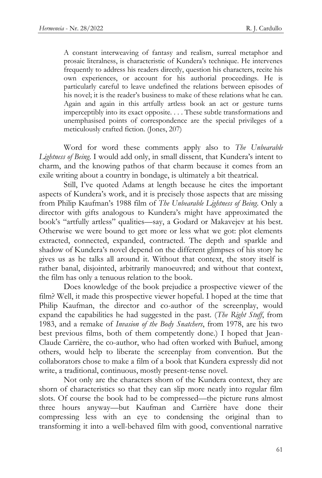A constant interweaving of fantasy and realism, surreal metaphor and prosaic literalness, is characteristic of Kundera's technique. He intervenes frequently to address his readers directly, question his characters, recite his own experiences, or account for his authorial proceedings. He is particularly careful to leave undefined the relations between episodes of his novel; it is the reader's business to make of these relations what he can. Again and again in this artfully artless book an act or gesture turns imperceptibly into its exact opposite. . . . These subtle transformations and unemphasised points of correspondence are the special privileges of a meticulously crafted fiction. (Jones, 207)

Word for word these comments apply also to *The Unbearable Lightness of Being*. I would add only, in small dissent, that Kundera's intent to charm, and the knowing pathos of that charm because it comes from an exile writing about a country in bondage, is ultimately a bit theatrical.

Still, I've quoted Adams at length because he cites the important aspects of Kundera's work, and it is precisely those aspects that are missing from Philip Kaufman's 1988 film of *The Unbearable Lightness of Being*. Only a director with gifts analogous to Kundera's might have approximated the book's "artfully artless" qualities—say, a Godard or Makavejev at his best. Otherwise we were bound to get more or less what we got: plot elements extracted, connected, expanded, contracted. The depth and sparkle and shadow of Kundera's novel depend on the different glimpses of his story he gives us as he talks all around it. Without that context, the story itself is rather banal, disjointed, arbitrarily manoeuvred; and without that context, the film has only a tenuous relation to the book.

Does knowledge of the book prejudice a prospective viewer of the film? Well, it made this prospective viewer hopeful. I hoped at the time that Philip Kaufman, the director and co-author of the screenplay, would expand the capabilities he had suggested in the past. (*The Right Stuff*, from 1983, and a remake of *Invasion of the Body Snatchers*, from 1978, are his two best previous films, both of them competently done.) I hoped that Jean-Claude Carrière, the co-author, who had often worked with Buñuel, among others, would help to liberate the screenplay from convention. But the collaborators chose to make a film of a book that Kundera expressly did not write, a traditional, continuous, mostly present-tense novel.

Not only are the characters shorn of the Kundera context, they are shorn of characteristics so that they can slip more neatly into regular film slots. Of course the book had to be compressed—the picture runs almost three hours anyway—but Kaufman and Carrière have done their compressing less with an eye to condensing the original than to transforming it into a well-behaved film with good, conventional narrative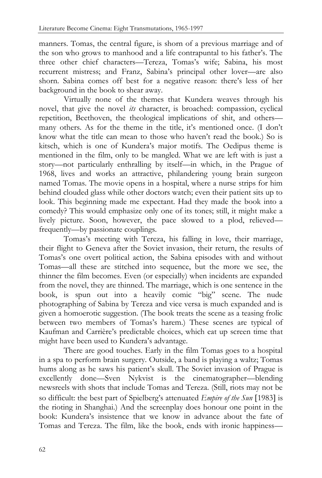manners. Tomas, the central figure, is shorn of a previous marriage and of the son who grows to manhood and a life contrapuntal to his father's. The three other chief characters—Tereza, Tomas's wife; Sabina, his most recurrent mistress; and Franz, Sabina's principal other lover—are also shorn. Sabina comes off best for a negative reason: there's less of her background in the book to shear away.

Virtually none of the themes that Kundera weaves through his novel, that give the novel *its* character, is broached: compassion, cyclical repetition, Beethoven, the theological implications of shit, and others many others. As for the theme in the title, it's mentioned once. (I don't know what the title can mean to those who haven't read the book.) So is kitsch, which is one of Kundera's major motifs. The Oedipus theme is mentioned in the film, only to be mangled. What we are left with is just a story—not particularly enthralling by itself—in which, in the Prague of 1968, lives and works an attractive, philandering young brain surgeon named Tomas. The movie opens in a hospital, where a nurse strips for him behind clouded glass while other doctors watch; even their patient sits up to look. This beginning made me expectant. Had they made the book into a comedy? This would emphasize only one of its tones; still, it might make a lively picture. Soon, however, the pace slowed to a plod, relieved frequently—by passionate couplings.

Tomas's meeting with Tereza, his falling in love, their marriage, their flight to Geneva after the Soviet invasion, their return, the results of Tomas's one overt political action, the Sabina episodes with and without Tomas—all these are stitched into sequence, but the more we see, the thinner the film becomes. Even (or especially) when incidents are expanded from the novel, they are thinned. The marriage, which is one sentence in the book, is spun out into a heavily comic "big" scene. The nude photographing of Sabina by Tereza and vice versa is much expanded and is given a homoerotic suggestion. (The book treats the scene as a teasing frolic between two members of Tomas's harem.) These scenes are typical of Kaufman and Carrière's predictable choices, which eat up screen time that might have been used to Kundera's advantage.

There are good touches. Early in the film Tomas goes to a hospital in a spa to perform brain surgery. Outside, a band is playing a waltz; Tomas hums along as he saws his patient's skull. The Soviet invasion of Prague is excellently done—Sven Nykvist is the cinematographer—blending newsreels with shots that include Tomas and Tereza. (Still, riots may not be so difficult: the best part of Spielberg's attenuated *Empire of the Sun* [1983] is the rioting in Shanghai.) And the screenplay does honour one point in the book: Kundera's insistence that we know in advance about the fate of Tomas and Tereza. The film, like the book, ends with ironic happiness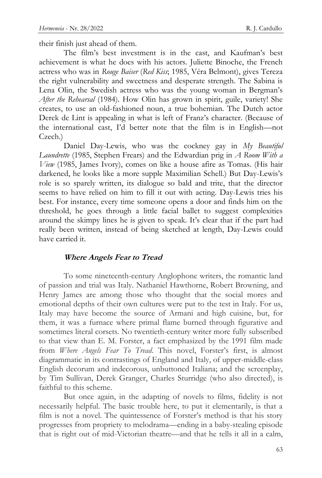their finish just ahead of them.

The film's best investment is in the cast, and Kaufman's best achievement is what he does with his actors. Juliette Binoche, the French actress who was in *Rouge Baiser* (*Red Kiss*; 1985, Véra Belmont), gives Tereza the right vulnerability and sweetness and desperate strength. The Sabina is Lena Olin, the Swedish actress who was the young woman in Bergman's *After the Rehearsal* (1984). How Olin has grown in spirit, guile, variety! She creates, to use an old-fashioned noun, a true bohemian. The Dutch actor Derek de Lint is appealing in what is left of Franz's character. (Because of the international cast, I'd better note that the film is in English—not Czech.)

Daniel Day-Lewis, who was the cockney gay in *My Beautiful Laundrette* (1985, Stephen Frears) and the Edwardian prig in *A Room With a View* (1985, James Ivory), comes on like a house afire as Tomas. (His hair darkened, he looks like a more supple Maximilian Schell.) But Day-Lewis's role is so sparely written, its dialogue so bald and trite, that the director seems to have relied on him to fill it out with acting. Day-Lewis tries his best. For instance, every time someone opens a door and finds him on the threshold, he goes through a little facial ballet to suggest complexities around the skimpy lines he is given to speak. It's clear that if the part had really been written, instead of being sketched at length, Day-Lewis could have carried it.

#### **Where Angels Fear to Tread**

To some nineteenth-century Anglophone writers, the romantic land of passion and trial was Italy. Nathaniel Hawthorne, Robert Browning, and Henry James are among those who thought that the social mores and emotional depths of their own cultures were put to the test in Italy. For us, Italy may have become the source of Armani and high cuisine, but, for them, it was a furnace where primal flame burned through figurative and sometimes literal corsets. No twentieth-century writer more fully subscribed to that view than E. M. Forster, a fact emphasized by the 1991 film made from *Where Angels Fear To Tread*. This novel, Forster's first, is almost diagrammatic in its contrastings of England and Italy, of upper-middle-class English decorum and indecorous, unbuttoned Italiana; and the screenplay, by Tim Sullivan, Derek Granger, Charles Sturridge (who also directed), is faithful to this scheme.

But once again, in the adapting of novels to films, fidelity is not necessarily helpful. The basic trouble here, to put it elementarily, is that a film is not a novel. The quintessence of Forster's method is that his story progresses from propriety to melodrama—ending in a baby-stealing episode that is right out of mid-Victorian theatre—and that he tells it all in a calm,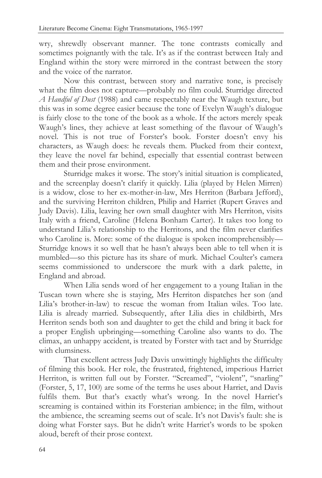wry, shrewdly observant manner. The tone contrasts comically and sometimes poignantly with the tale. It's as if the contrast between Italy and England within the story were mirrored in the contrast between the story and the voice of the narrator.

Now this contrast, between story and narrative tone, is precisely what the film does not capture—probably no film could. Sturridge directed *A Handful of Dust* (1988) and came respectably near the Waugh texture, but this was in some degree easier because the tone of Evelyn Waugh's dialogue is fairly close to the tone of the book as a whole. If the actors merely speak Waugh's lines, they achieve at least something of the flavour of Waugh's novel. This is not true of Forster's book. Forster doesn't envy his characters, as Waugh does: he reveals them. Plucked from their context, they leave the novel far behind, especially that essential contrast between them and their prose environment.

Sturridge makes it worse. The story's initial situation is complicated, and the screenplay doesn't clarify it quickly. Lilia (played by Helen Mirren) is a widow, close to her ex-mother-in-law, Mrs Herriton (Barbara Jefford), and the surviving Herriton children, Philip and Harriet (Rupert Graves and Judy Davis). Lilia, leaving her own small daughter with Mrs Herriton, visits Italy with a friend, Caroline (Helena Bonham Carter). It takes too long to understand Lilia's relationship to the Herritons, and the film never clarifies who Caroline is. More: some of the dialogue is spoken incomprehensibly— Sturridge knows it so well that he hasn't always been able to tell when it is mumbled—so this picture has its share of murk. Michael Coulter's camera seems commissioned to underscore the murk with a dark palette, in England and abroad.

When Lilia sends word of her engagement to a young Italian in the Tuscan town where she is staying, Mrs Herriton dispatches her son (and Lilia's brother-in-law) to rescue the woman from Italian wiles. Too late. Lilia is already married. Subsequently, after Lilia dies in childbirth, Mrs Herriton sends both son and daughter to get the child and bring it back for a proper English upbringing—something Caroline also wants to do. The climax, an unhappy accident, is treated by Forster with tact and by Sturridge with clumsiness.

That excellent actress Judy Davis unwittingly highlights the difficulty of filming this book. Her role, the frustrated, frightened, imperious Harriet Herriton, is written full out by Forster. "Screamed", "violent", "snarling" (Forster, 5, 17, 100) are some of the terms he uses about Harriet, and Davis fulfils them. But that's exactly what's wrong. In the novel Harriet's screaming is contained within its Forsterian ambience; in the film, without the ambience, the screaming seems out of scale. It's not Davis's fault: she is doing what Forster says. But he didn't write Harriet's words to be spoken aloud, bereft of their prose context.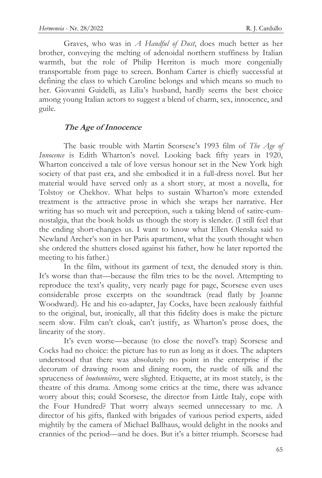Graves, who was in *A Handful of Dust*, does much better as her brother, conveying the melting of adenoidal northern stuffiness by Italian warmth, but the role of Philip Herriton is much more congenially transportable from page to screen. Bonham Carter is chiefly successful at defining the class to which Caroline belongs and which means so much to her. Giovanni Guidelli, as Lilia's husband, hardly seems the best choice among young Italian actors to suggest a blend of charm, sex, innocence, and guile.

### **The Age of Innocence**

The basic trouble with Martin Scorsese's 1993 film of *The Age of Innocence* is Edith Wharton's novel. Looking back fifty years in 1920, Wharton conceived a tale of love versus honour set in the New York high society of that past era, and she embodied it in a full-dress novel. But her material would have served only as a short story, at most a novella, for Tolstoy or Chekhov. What helps to sustain Wharton's more extended treatment is the attractive prose in which she wraps her narrative. Her writing has so much wit and perception, such a taking blend of satire-cumnostalgia, that the book holds us though the story is slender. (I still feel that the ending short-changes us. I want to know what Ellen Olenska said to Newland Archer's son in her Paris apartment, what the youth thought when she ordered the shutters closed against his father, how he later reported the meeting to his father.)

In the film, without its garment of text, the denuded story is thin. It's worse than that—because the film tries to be the novel. Attempting to reproduce the text's quality, very nearly page for page, Scorsese even uses considerable prose excerpts on the soundtrack (read flatly by Joanne Woodward). He and his co-adapter, Jay Cocks, have been zealously faithful to the original, but, ironically, all that this fidelity does is make the picture seem slow. Film can't cloak, can't justify, as Wharton's prose does, the linearity of the story.

It's even worse—because (to close the novel's trap) Scorsese and Cocks had no choice: the picture has to run as long as it does. The adapters understood that there was absolutely no point in the enterprise if the decorum of drawing room and dining room, the rustle of silk and the spruceness of *boutonnières*, were slighted. Etiquette, at its most stately, is the theatre of this drama. Among some critics at the time, there was advance worry about this; could Scorsese, the director from Little Italy, cope with the Four Hundred? That worry always seemed unnecessary to me. A director of his gifts, flanked with brigades of various period experts, aided mightily by the camera of Michael Ballhaus, would delight in the nooks and crannies of the period—and he does. But it's a bitter triumph. Scorsese had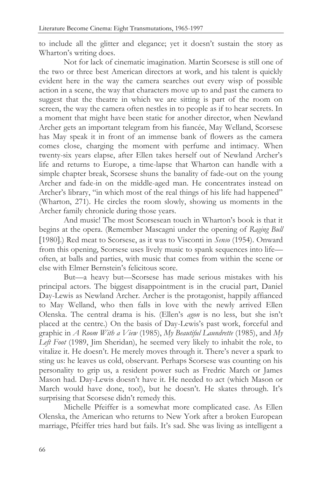to include all the glitter and elegance; yet it doesn't sustain the story as Wharton's writing does.

Not for lack of cinematic imagination. Martin Scorsese is still one of the two or three best American directors at work, and his talent is quickly evident here in the way the camera searches out every wisp of possible action in a scene, the way that characters move up to and past the camera to suggest that the theatre in which we are sitting is part of the room on screen, the way the camera often nestles in to people as if to hear secrets. In a moment that might have been static for another director, when Newland Archer gets an important telegram from his fiancée, May Welland, Scorsese has May speak it in front of an immense bank of flowers as the camera comes close, charging the moment with perfume and intimacy. When twenty-six years elapse, after Ellen takes herself out of Newland Archer's life and returns to Europe, a time-lapse that Wharton can handle with a simple chapter break, Scorsese shuns the banality of fade-out on the young Archer and fade-in on the middle-aged man. He concentrates instead on Archer's library, "in which most of the real things of his life had happened" (Wharton, 271). He circles the room slowly, showing us moments in the Archer family chronicle during those years.

And music! The most Scorsesean touch in Wharton's book is that it begins at the opera. (Remember Mascagni under the opening of *Raging Bull* 1980.) Red meat to Scorsese, as it was to Visconti in *Senso* (1954). Onward from this opening, Scorsese uses lively music to spank sequences into life often, at balls and parties, with music that comes from within the scene or else with Elmer Bernstein's felicitous score.

But—a heavy but—Scorsese has made serious mistakes with his principal actors. The biggest disappointment is in the crucial part, Daniel Day-Lewis as Newland Archer. Archer is the protagonist, happily affianced to May Welland, who then falls in love with the newly arrived Ellen Olenska. The central drama is his. (Ellen's *agon* is no less, but she isn't placed at the centre.) On the basis of Day-Lewis's past work, forceful and graphic in *A Room With a View* (1985), *My Beautiful Laundrette* (1985), and *My Left Foot* (1989, Jim Sheridan), he seemed very likely to inhabit the role, to vitalize it. He doesn't. He merely moves through it. There's never a spark to sting us: he leaves us cold, observant. Perhaps Scorsese was counting on his personality to grip us, a resident power such as Fredric March or James Mason had. Day-Lewis doesn't have it. He needed to act (which Mason or March would have done, too!), but he doesn't. He skates through. It's surprising that Scorsese didn't remedy this.

Michelle Pfeiffer is a somewhat more complicated case. As Ellen Olenska, the American who returns to New York after a broken European marriage, Pfeiffer tries hard but fails. It's sad. She was living as intelligent a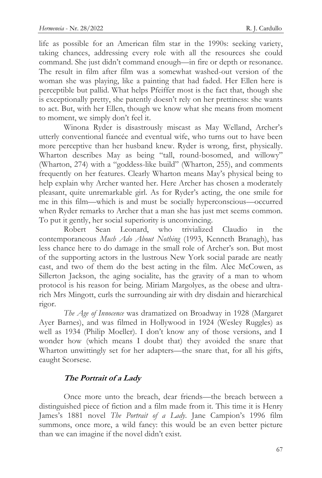life as possible for an American film star in the 1990s: seeking variety, taking chances, addressing every role with all the resources she could command. She just didn't command enough—in fire or depth or resonance. The result in film after film was a somewhat washed-out version of the woman she was playing, like a painting that had faded. Her Ellen here is perceptible but pallid. What helps Pfeiffer most is the fact that, though she is exceptionally pretty, she patently doesn't rely on her prettiness: she wants to act. But, with her Ellen, though we know what she means from moment to moment, we simply don't feel it.

Winona Ryder is disastrously miscast as May Welland, Archer's utterly conventional fiancée and eventual wife, who turns out to have been more perceptive than her husband knew. Ryder is wrong, first, physically. Wharton describes May as being "tall, round-bosomed, and willowy" (Wharton, 274) with a "goddess-like build" (Wharton, 255), and comments frequently on her features. Clearly Wharton means May's physical being to help explain why Archer wanted her. Here Archer has chosen a moderately pleasant, quite unremarkable girl. As for Ryder's acting, the one smile for me in this film—which is and must be socially hyperconscious—occurred when Ryder remarks to Archer that a man she has just met seems common. To put it gently, her social superiority is unconvincing.

Robert Sean Leonard, who trivialized Claudio in the contemporaneous *Much Ado About Nothing* (1993, Kenneth Branagh), has less chance here to do damage in the small role of Archer's son. But most of the supporting actors in the lustrous New York social parade are neatly cast, and two of them do the best acting in the film. Alec McCowen, as Sillerton Jackson, the aging socialite, has the gravity of a man to whom protocol is his reason for being. Miriam Margolyes, as the obese and ultrarich Mrs Mingott, curls the surrounding air with dry disdain and hierarchical rigor.

*The Age of Innocence* was dramatized on Broadway in 1928 (Margaret Ayer Barnes), and was filmed in Hollywood in 1924 (Wesley Ruggles) as well as 1934 (Philip Moeller). I don't know any of those versions, and I wonder how (which means I doubt that) they avoided the snare that Wharton unwittingly set for her adapters—the snare that, for all his gifts, caught Scorsese.

## **The Portrait of a Lady**

Once more unto the breach, dear friends—the breach between a distinguished piece of fiction and a film made from it. This time it is Henry James's 1881 novel *The Portrait of a Lady*. Jane Campion's 1996 film summons, once more, a wild fancy: this would be an even better picture than we can imagine if the novel didn't exist.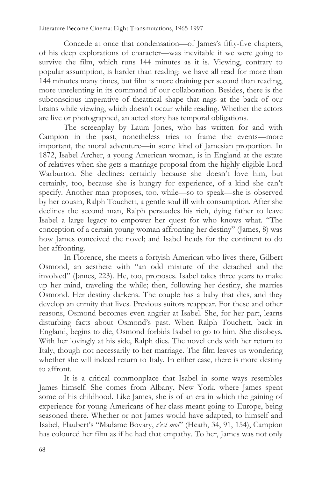Concede at once that condensation—of James's fifty-five chapters, of his deep explorations of character—was inevitable if we were going to survive the film, which runs 144 minutes as it is. Viewing, contrary to popular assumption, is harder than reading: we have all read for more than 144 minutes many times, but film is more draining per second than reading, more unrelenting in its command of our collaboration. Besides, there is the subconscious imperative of theatrical shape that nags at the back of our brains while viewing, which doesn't occur while reading. Whether the actors are live or photographed, an acted story has temporal obligations.

The screenplay by Laura Jones, who has written for and with Campion in the past, nonetheless tries to frame the events—more important, the moral adventure—in some kind of Jamesian proportion. In 1872, Isabel Archer, a young American woman, is in England at the estate of relatives when she gets a marriage proposal from the highly eligible Lord Warburton. She declines: certainly because she doesn't love him, but certainly, too, because she is hungry for experience, of a kind she can't specify. Another man proposes, too, while—so to speak—she is observed by her cousin, Ralph Touchett, a gentle soul ill with consumption. After she declines the second man, Ralph persuades his rich, dying father to leave Isabel a large legacy to empower her quest for who knows what. "The conception of a certain young woman affronting her destiny" (James, 8) was how James conceived the novel; and Isabel heads for the continent to do her affronting.

In Florence, she meets a fortyish American who lives there, Gilbert Osmond, an aesthete with "an odd mixture of the detached and the involved" (James, 223). He, too, proposes. Isabel takes three years to make up her mind, traveling the while; then, following her destiny, she marries Osmond. Her destiny darkens. The couple has a baby that dies, and they develop an enmity that lives. Previous suitors reappear. For these and other reasons, Osmond becomes even angrier at Isabel. She, for her part, learns disturbing facts about Osmond's past. When Ralph Touchett, back in England, begins to die, Osmond forbids Isabel to go to him. She disobeys. With her lovingly at his side, Ralph dies. The novel ends with her return to Italy, though not necessarily to her marriage. The film leaves us wondering whether she will indeed return to Italy. In either case, there is more destiny to affront.

It is a critical commonplace that Isabel in some ways resembles James himself. She comes from Albany, New York, where James spent some of his childhood. Like James, she is of an era in which the gaining of experience for young Americans of her class meant going to Europe, being seasoned there. Whether or not James would have adapted, to himself and Isabel, Flaubert's "Madame Bovary, *c'est moi*" (Heath, 34, 91, 154), Campion has coloured her film as if he had that empathy. To her, James was not only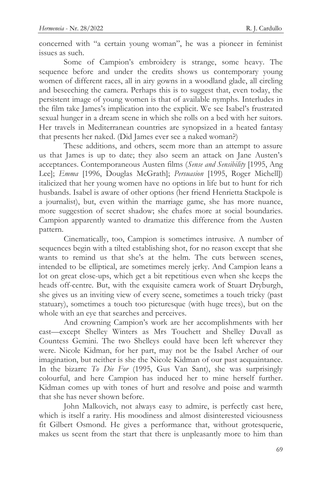concerned with "a certain young woman", he was a pioneer in feminist issues as such.

Some of Campion's embroidery is strange, some heavy. The sequence before and under the credits shows us contemporary young women of different races, all in airy gowns in a woodland glade, all circling and beseeching the camera. Perhaps this is to suggest that, even today, the persistent image of young women is that of available nymphs. Interludes in the film take James's implication into the explicit. We see Isabel's frustrated sexual hunger in a dream scene in which she rolls on a bed with her suitors. Her travels in Mediterranean countries are synopsized in a heated fantasy that presents her naked. (Did James ever see a naked woman?)

These additions, and others, seem more than an attempt to assure us that James is up to date; they also seem an attack on Jane Austen's acceptances. Contemporaneous Austen films (*Sense and Sensibility* [1995, Ang Lee]; *Emma* [1996, Douglas McGrath]; *Persuasion* [1995, Roger Michell]) italicized that her young women have no options in life but to hunt for rich husbands. Isabel is aware of other options (her friend Henrietta Stackpole is a journalist), but, even within the marriage game, she has more nuance, more suggestion of secret shadow; she chafes more at social boundaries. Campion apparently wanted to dramatize this difference from the Austen pattern.

Cinematically, too, Campion is sometimes intrusive. A number of sequences begin with a tilted establishing shot, for no reason except that she wants to remind us that she's at the helm. The cuts between scenes, intended to be elliptical, are sometimes merely jerky. And Campion leans a lot on great close-ups, which get a bit repetitious even when she keeps the heads off-centre. But, with the exquisite camera work of Stuart Dryburgh, she gives us an inviting view of every scene, sometimes a touch tricky (past statuary), sometimes a touch too picturesque (with huge trees), but on the whole with an eye that searches and perceives.

And crowning Campion's work are her accomplishments with her cast—except Shelley Winters as Mrs Touchett and Shelley Duvall as Countess Gemini. The two Shelleys could have been left wherever they were. Nicole Kidman, for her part, may not be the Isabel Archer of our imagination, but neither is she the Nicole Kidman of our past acquaintance. In the bizarre *To Die For* (1995, Gus Van Sant), she was surprisingly colourful, and here Campion has induced her to mine herself further. Kidman comes up with tones of hurt and resolve and poise and warmth that she has never shown before.

John Malkovich, not always easy to admire, is perfectly cast here, which is itself a rarity. His moodiness and almost disinterested viciousness fit Gilbert Osmond. He gives a performance that, without grotesquerie, makes us scent from the start that there is unpleasantly more to him than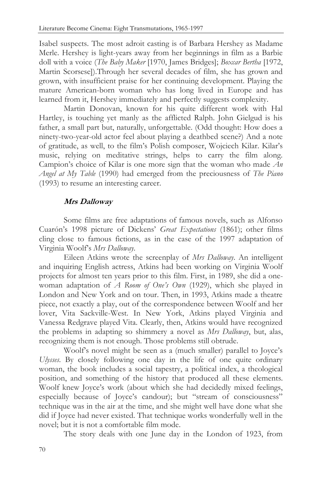Isabel suspects. The most adroit casting is of Barbara Hershey as Madame Merle. Hershey is light-years away from her beginnings in film as a Barbie doll with a voice (*The Baby Maker* [1970, James Bridges]; *Boxcar Bertha* [1972, Martin Scorsese]).Through her several decades of film, she has grown and grown, with insufficient praise for her continuing development. Playing the mature American-born woman who has long lived in Europe and has learned from it, Hershey immediately and perfectly suggests complexity.

Martin Donovan, known for his quite different work with Hal Hartley, is touching yet manly as the afflicted Ralph. John Gielgud is his father, a small part but, naturally, unforgettable. (Odd thought: How does a ninety-two-year-old actor feel about playing a deathbed scene?) And a note of gratitude, as well, to the film's Polish composer, Wojciech Kilar. Kilar's music, relying on meditative strings, helps to carry the film along. Campion's choice of Kilar is one more sign that the woman who made *An Angel at My Table* (1990) had emerged from the preciousness of *The Piano* (1993) to resume an interesting career.

## **Mrs Dalloway**

Some films are free adaptations of famous novels, such as Alfonso Cuarón's 1998 picture of Dickens' *Great Expectations* (1861); other films cling close to famous fictions, as in the case of the 1997 adaptation of Virginia Woolf's *Mrs Dalloway*.

Eileen Atkins wrote the screenplay of *Mrs Dalloway*. An intelligent and inquiring English actress, Atkins had been working on Virginia Woolf projects for almost ten years prior to this film. First, in 1989, she did a onewoman adaptation of *A Room of One's Own* (1929), which she played in London and New York and on tour. Then, in 1993, Atkins made a theatre piece, not exactly a play, out of the correspondence between Woolf and her lover, Vita Sackville-West. In New York, Atkins played Virginia and Vanessa Redgrave played Vita. Clearly, then, Atkins would have recognized the problems in adapting so shimmery a novel as *Mrs Dalloway*, but, alas, recognizing them is not enough. Those problems still obtrude.

Woolf's novel might be seen as a (much smaller) parallel to Joyce's *Ulysses*. By closely following one day in the life of one quite ordinary woman, the book includes a social tapestry, a political index, a theological position, and something of the history that produced all these elements. Woolf knew Joyce's work (about which she had decidedly mixed feelings, especially because of Joyce's candour); but "stream of consciousness" technique was in the air at the time, and she might well have done what she did if Joyce had never existed. That technique works wonderfully well in the novel; but it is not a comfortable film mode.

The story deals with one June day in the London of 1923, from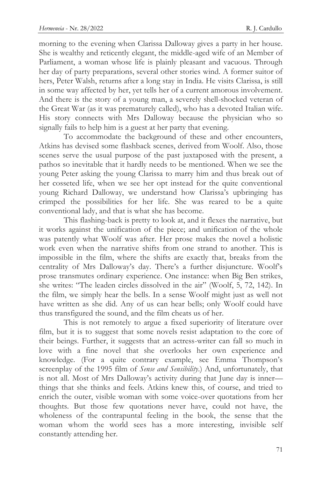morning to the evening when Clarissa Dalloway gives a party in her house. She is wealthy and reticently elegant, the middle-aged wife of an Member of Parliament, a woman whose life is plainly pleasant and vacuous. Through her day of party preparations, several other stories wind. A former suitor of hers, Peter Walsh, returns after a long stay in India. He visits Clarissa, is still in some way affected by her, yet tells her of a current amorous involvement. And there is the story of a young man, a severely shell-shocked veteran of the Great War (as it was prematurely called), who has a devoted Italian wife. His story connects with Mrs Dalloway because the physician who so signally fails to help him is a guest at her party that evening.

To accommodate the background of these and other encounters, Atkins has devised some flashback scenes, derived from Woolf. Also, those scenes serve the usual purpose of the past juxtaposed with the present, a pathos so inevitable that it hardly needs to be mentioned. When we see the young Peter asking the young Clarissa to marry him and thus break out of her cosseted life, when we see her opt instead for the quite conventional young Richard Dalloway, we understand how Clarissa's upbringing has crimped the possibilities for her life. She was reared to be a quite conventional lady, and that is what she has become.

This flashing-back is pretty to look at, and it flexes the narrative, but it works against the unification of the piece; and unification of the whole was patently what Woolf was after. Her prose makes the novel a holistic work even when the narrative shifts from one strand to another. This is impossible in the film, where the shifts are exactly that, breaks from the centrality of Mrs Dalloway's day. There's a further disjuncture. Woolf's prose transmutes ordinary experience. One instance: when Big Ben strikes, she writes: "The leaden circles dissolved in the air" (Woolf, 5, 72, 142). In the film, we simply hear the bells. In a sense Woolf might just as well not have written as she did. Any of us can hear bells; only Woolf could have thus transfigured the sound, and the film cheats us of her.

This is not remotely to argue a fixed superiority of literature over film, but it is to suggest that some novels resist adaptation to the core of their beings. Further, it suggests that an actress-writer can fall so much in love with a fine novel that she overlooks her own experience and knowledge. (For a quite contrary example, see Emma Thompson's screenplay of the 1995 film of *Sense and Sensibility*.) And, unfortunately, that is not all. Most of Mrs Dalloway's activity during that June day is inner things that she thinks and feels. Atkins knew this, of course, and tried to enrich the outer, visible woman with some voice-over quotations from her thoughts. But those few quotations never have, could not have, the wholeness of the contrapuntal feeling in the book, the sense that the woman whom the world sees has a more interesting, invisible self constantly attending her.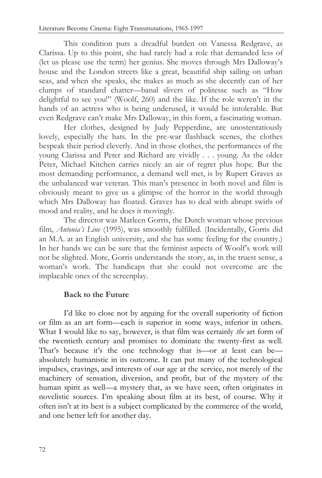This condition puts a dreadful burden on Vanessa Redgrave, as Clarissa. Up to this point, she had rarely had a role that demanded less of (let us please use the term) her genius. She moves through Mrs Dalloway's house and the London streets like a great, beautiful ship sailing on urban seas, and when she speaks, she makes as much as she decently can of her clumps of standard chatter—banal slivers of politesse such as "How delightful to see you!" (Woolf, 260) and the like. If the role weren't in the hands of an actress who is being underused, it would be intolerable. But even Redgrave can't make Mrs Dalloway, in this form, a fascinating woman.

Her clothes, designed by Judy Pepperdine, are unostentatiously lovely, especially the hats. In the pre-war flashback scenes, the clothes bespeak their period cleverly. And in those clothes, the performances of the young Clarissa and Peter and Richard are vividly . . . young. As the older Peter, Michael Kitchen carries nicely an air of regret plus hope. But the most demanding performance, a demand well met, is by Rupert Graves as the unbalanced war veteran. This man's presence in both novel and film is obviously meant to give us a glimpse of the horror in the world through which Mrs Dalloway has floated. Graves has to deal with abrupt swirls of mood and reality, and he does it movingly.

The director was Marleen Gorris, the Dutch woman whose previous film, *Antonia's Line* (1995), was smoothly fulfilled. (Incidentally, Gorris did an M.A. at an English university, and she has some feeling for the country.) In her hands we can be sure that the feminist aspects of Woolf's work will not be slighted. More, Gorris understands the story, as, in the truest sense, a woman's work. The handicaps that she could not overcome are the implacable ones of the screenplay.

# **Back to the Future**

I'd like to close not by arguing for the overall superiority of fiction or film as an art form—each is superior in some ways, inferior in others. What I would like to say, however, is that film was certainly *the* art form of the twentieth century and promises to dominate the twenty-first as well. That's because it's the one technology that is—or at least can be absolutely humanistic in its outcome. It can put many of the technological impulses, cravings, and interests of our age at the service, not merely of the machinery of sensation, diversion, and profit, but of the mystery of the human spirit as well—a mystery that, as we have seen, often originates in novelistic sources. I'm speaking about film at its best, of course. Why it often isn't at its best is a subject complicated by the commerce of the world, and one better left for another day.